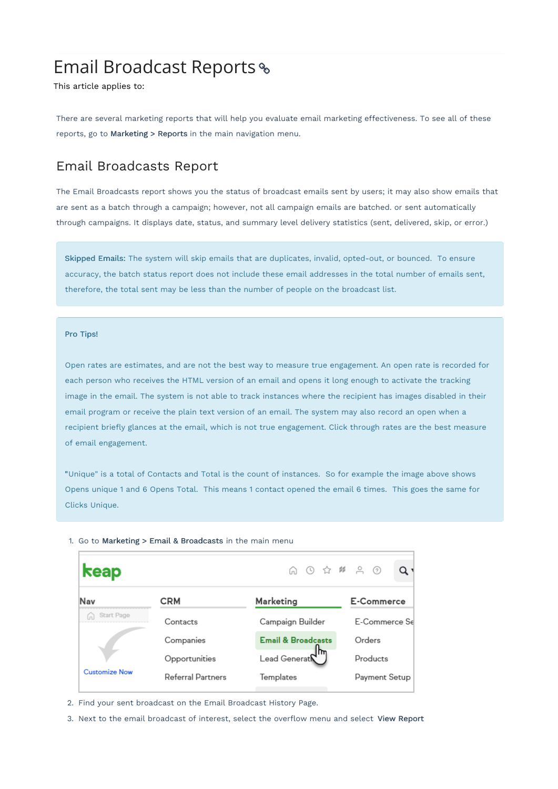# Email Broadcast Reports

This article applies to:

There are several marketing reports that will help you evaluate email marketing effectiveness. To see all of these reports, go to Marketing > Reports in the main navigation menu.

### Email Broadcasts Report

The Email Broadcasts report shows you the status of broadcast emails sent by users; it may also show emails that are sent as a batch through a campaign; however, not all campaign emails are batched. or sent automatically through campaigns. It displays date, status, and summary level delivery statistics (sent, delivered, skip, or error.)

Skipped Emails: The system will skip emails that are duplicates, invalid, opted-out, or bounced. To ensure accuracy, the batch status report does not include these email addresses in the total number of emails sent, therefore, the total sent may be less than the number of people on the broadcast list.

#### Pro Tips!

Open rates are estimates, and are not the best way to measure true engagement. An open rate is recorded for each person who receives the HTML version of an email and opens it long enough to activate the tracking image in the email. The system is not able to track instances where the recipient has images disabled in their email program or receive the plain text version of an email. The system may also record an open when a recipient briefly glances at the email, which is not true engagement. Click through rates are the best measure of email engagement.

"Unique" is a total of Contacts and Total is the count of instances. So for example the image above shows Opens unique 1 and 6 Opens Total. This means 1 contact opened the email 6 times. This goes the same for Clicks Unique.

| keap                 |                   |                                | Q۱            |
|----------------------|-------------------|--------------------------------|---------------|
| Nav                  | <b>CRM</b>        | Marketing                      | E-Commerce    |
| Start Page           | Contacts          | Campaign Builder               | E-Commerce Se |
|                      | Companies         | <b>Email &amp; Broadcasts</b>  | Orders        |
|                      | Opportunities     | m<br>Lead Generat $\mathcal K$ | Products      |
| <b>Customize Now</b> | Referral Partners | Templates                      | Payment Setup |
|                      |                   |                                |               |

1. Go to Marketing > Email & Broadcasts in the main menu

- 2. Find your sent broadcast on the Email Broadcast History Page.
- 3. Next to the email broadcast of interest, select the overflow menu and select View Report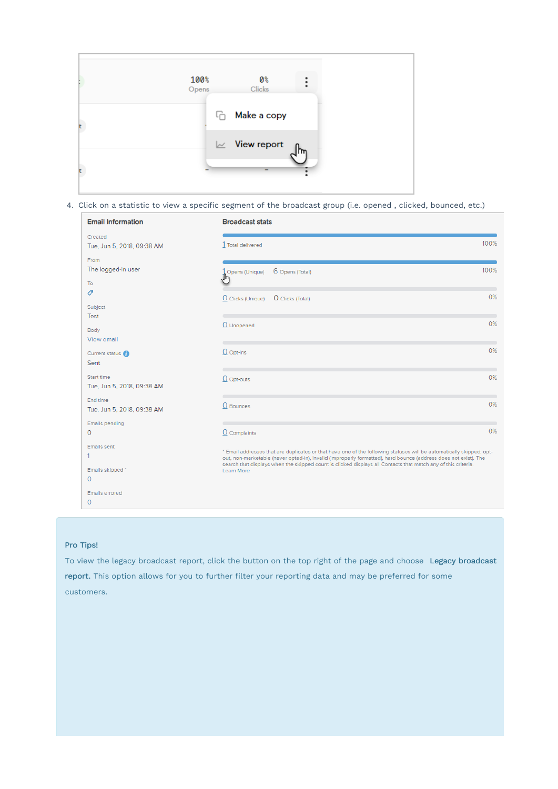

4. Click on a statistic to view a specific segment of the broadcast group (i.e. opened , clicked, bounced, etc.)

| <b>Email Information</b>                    | <b>Broadcast stats</b>                                                                                                                                                                                                                                                                                                                                                 |      |
|---------------------------------------------|------------------------------------------------------------------------------------------------------------------------------------------------------------------------------------------------------------------------------------------------------------------------------------------------------------------------------------------------------------------------|------|
| Created<br>Tue, Jun 5, 2018, 09:38 AM       | 1 Total delivered                                                                                                                                                                                                                                                                                                                                                      | 100% |
| From<br>The logged-in user<br>To            | 6 Opens (Total)<br>Opens (Unique)                                                                                                                                                                                                                                                                                                                                      | 100% |
| O<br>Subject<br>Test                        | O Clicks (Unique)<br>O Clicks (Total)                                                                                                                                                                                                                                                                                                                                  | 0%   |
| Body<br>View email                          | O Unopened                                                                                                                                                                                                                                                                                                                                                             | 0%   |
| Current status <sup>1</sup><br>Sent         | $O$ Opt-ins                                                                                                                                                                                                                                                                                                                                                            | 0%   |
| Start time<br>Tue, Jun 5, 2018, 09:38 AM    | O Opt-outs                                                                                                                                                                                                                                                                                                                                                             | 0%   |
| End time<br>Tue, Jun 5, 2018, 09:38 AM      | O Bounces                                                                                                                                                                                                                                                                                                                                                              | 0%   |
| <b>Emails pending</b><br>$\mathbf{0}$       | $\underline{0}$ Complaints                                                                                                                                                                                                                                                                                                                                             | 0%   |
| <b>Emails sent</b><br>1<br>Emails skipped * | * Email addresses that are duplicates or that have one of the following statuses will be automatically skipped: opt-<br>out, non-marketable (never opted-in), invalid (improperly formatted), hard bounce (address does not exist). The<br>search that displays when the skipped count is clicked displays all Contacts that match any of this criteria.<br>Learn More |      |
| $\mathbf{0}$<br><b>Emails errored</b>       |                                                                                                                                                                                                                                                                                                                                                                        |      |
| $\mathbf{0}$                                |                                                                                                                                                                                                                                                                                                                                                                        |      |

#### Pro Tips!

To view the legacy broadcast report, click the button on the top right of the page and choose Legacy broadcast report. This option allows for you to further filter your reporting data and may be preferred for some customers.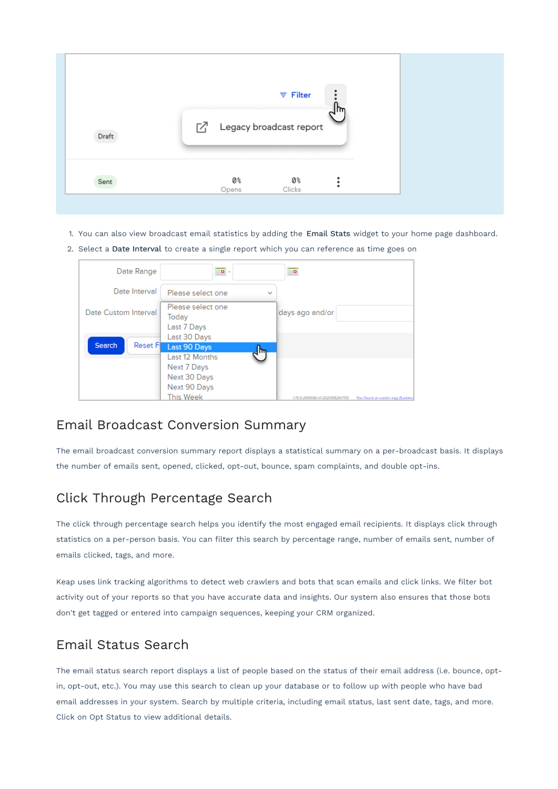| Draft |             | $\equiv$ Filter<br>□ Legacy broadcast report | m |
|-------|-------------|----------------------------------------------|---|
| Sent  | 0%<br>Opens | 0%<br>Clicks                                 |   |

- 1. You can also view broadcast email statistics by adding the Email Stats widget to your home page dashboard.
- 2. Select a Date Interval to create a single report which you can reference as time goes on

| Date Range                | $\sqrt{p}$ -                                                                                                        | $\blacksquare$                                                  |
|---------------------------|---------------------------------------------------------------------------------------------------------------------|-----------------------------------------------------------------|
| Date Interval             | Please select one<br>$\checkmark$                                                                                   |                                                                 |
| Date Custom Interval      | Please select one<br>Today<br>Last 7 Days<br>Last 30 Days                                                           | days ago and/or                                                 |
| <b>Reset Fl</b><br>Search | Last 90 Days<br>4 <sub>µ</sub><br>Last 12 Months<br>Next 7 Days<br>Next 30 Days<br>Next 90 Days<br><b>This Week</b> | 170.0.268596-hf-202008261705<br>You found an easter egg (Sudoku |

### Email Broadcast Conversion Summary

The email broadcast conversion summary report displays a statistical summary on a per-broadcast basis. It displays the number of emails sent, opened, clicked, opt-out, bounce, spam complaints, and double opt-ins.

### Click Through Percentage Search

The click through percentage search helps you identify the most engaged email recipients. It displays click through statistics on a per-person basis. You can filter this search by percentage range, number of emails sent, number of emails clicked, tags, and more.

Keap uses link tracking algorithms to detect web crawlers and bots that scan emails and click links. We filter bot activity out of your reports so that you have accurate data and insights. Our system also ensures that those bots don't get tagged or entered into campaign sequences, keeping your CRM organized.

### Email Status Search

The email status search report displays a list of people based on the status of their email address (i.e. bounce, optin, opt-out, etc.). You may use this search to clean up your database or to follow up with people who have bad email addresses in your system. Search by multiple criteria, including email status, last sent date, tags, and more. Click on Opt Status to view additional details.